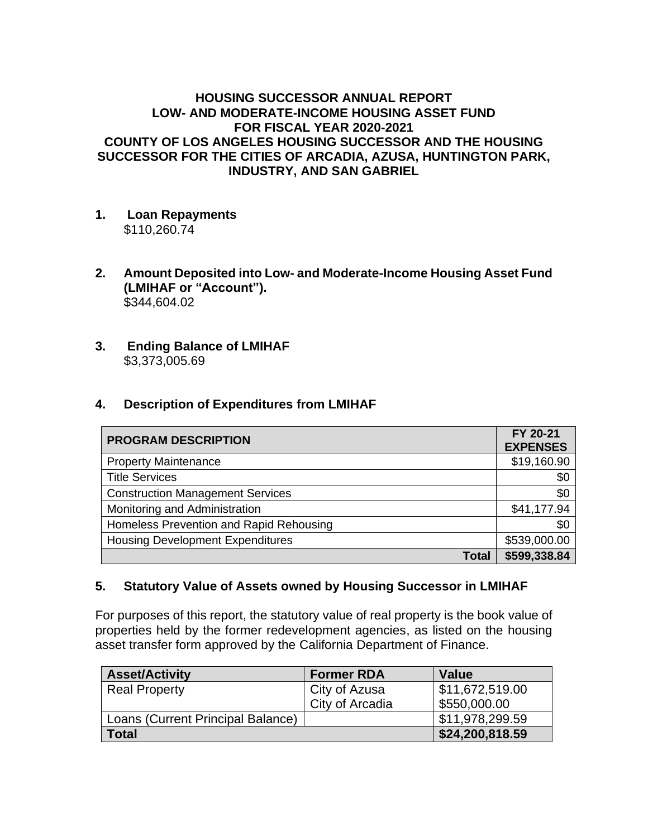### **HOUSING SUCCESSOR ANNUAL REPORT LOW- AND MODERATE-INCOME HOUSING ASSET FUND FOR FISCAL YEAR 2020-2021 COUNTY OF LOS ANGELES HOUSING SUCCESSOR AND THE HOUSING SUCCESSOR FOR THE CITIES OF ARCADIA, AZUSA, HUNTINGTON PARK, INDUSTRY, AND SAN GABRIEL**

- **1. Loan Repayments** \$110,260.74
- **2. Amount Deposited into Low- and Moderate-Income Housing Asset Fund (LMIHAF or "Account").** \$344,604.02
- **3. Ending Balance of LMIHAF** \$3,373,005.69

## **4. Description of Expenditures from LMIHAF**

| <b>PROGRAM DESCRIPTION</b>              | FY 20-21<br><b>EXPENSES</b> |
|-----------------------------------------|-----------------------------|
| <b>Property Maintenance</b>             | \$19,160.90                 |
| <b>Title Services</b>                   | \$0                         |
| <b>Construction Management Services</b> | \$0                         |
| Monitoring and Administration           | \$41,177.94                 |
| Homeless Prevention and Rapid Rehousing | \$0                         |
| <b>Housing Development Expenditures</b> | \$539,000.00                |
| <b>Total</b>                            | \$599,338.84                |

### **5. Statutory Value of Assets owned by Housing Successor in LMIHAF**

For purposes of this report, the statutory value of real property is the book value of properties held by the former redevelopment agencies, as listed on the housing asset transfer form approved by the California Department of Finance.

| <b>Asset/Activity</b>             | <b>Former RDA</b> | <b>Value</b>    |
|-----------------------------------|-------------------|-----------------|
| <b>Real Property</b>              | City of Azusa     | \$11,672,519.00 |
|                                   | City of Arcadia   | \$550,000.00    |
| Loans (Current Principal Balance) |                   | \$11,978,299.59 |
| Total                             |                   | \$24,200,818.59 |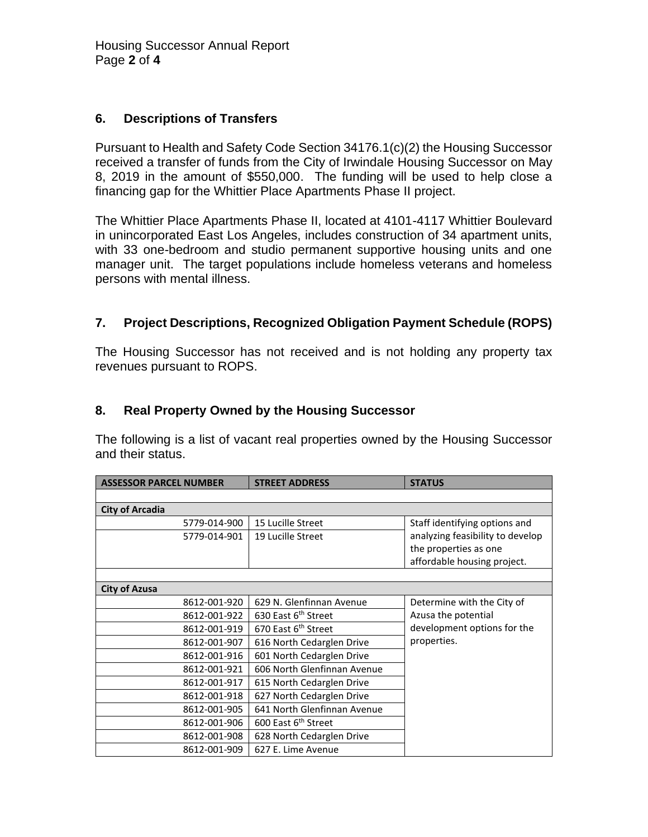## **6. Descriptions of Transfers**

Pursuant to Health and Safety Code Section 34176.1(c)(2) the Housing Successor received a transfer of funds from the City of Irwindale Housing Successor on May 8, 2019 in the amount of \$550,000. The funding will be used to help close a financing gap for the Whittier Place Apartments Phase II project.

The Whittier Place Apartments Phase II, located at 4101-4117 Whittier Boulevard in unincorporated East Los Angeles, includes construction of 34 apartment units, with 33 one-bedroom and studio permanent supportive housing units and one manager unit. The target populations include homeless veterans and homeless persons with mental illness.

## **7. Project Descriptions, Recognized Obligation Payment Schedule (ROPS)**

The Housing Successor has not received and is not holding any property tax revenues pursuant to ROPS.

### **8. Real Property Owned by the Housing Successor**

The following is a list of vacant real properties owned by the Housing Successor and their status.

| <b>ASSESSOR PARCEL NUMBER</b> | <b>STREET ADDRESS</b>           | <b>STATUS</b>                    |
|-------------------------------|---------------------------------|----------------------------------|
|                               |                                 |                                  |
| <b>City of Arcadia</b>        |                                 |                                  |
| 5779-014-900                  | 15 Lucille Street               | Staff identifying options and    |
| 5779-014-901                  | 19 Lucille Street               | analyzing feasibility to develop |
|                               |                                 | the properties as one            |
|                               |                                 | affordable housing project.      |
|                               |                                 |                                  |
| <b>City of Azusa</b>          |                                 |                                  |
| 8612-001-920                  | 629 N. Glenfinnan Avenue        | Determine with the City of       |
| 8612-001-922                  | 630 East 6 <sup>th</sup> Street | Azusa the potential              |
| 8612-001-919                  | 670 East 6 <sup>th</sup> Street | development options for the      |
| 8612-001-907                  | 616 North Cedarglen Drive       | properties.                      |
| 8612-001-916                  | 601 North Cedarglen Drive       |                                  |
| 8612-001-921                  | 606 North Glenfinnan Avenue     |                                  |
| 8612-001-917                  | 615 North Cedarglen Drive       |                                  |
| 8612-001-918                  | 627 North Cedarglen Drive       |                                  |
| 8612-001-905                  | 641 North Glenfinnan Avenue     |                                  |
| 8612-001-906                  | 600 East 6 <sup>th</sup> Street |                                  |
| 8612-001-908                  | 628 North Cedarglen Drive       |                                  |
| 8612-001-909                  | 627 E. Lime Avenue              |                                  |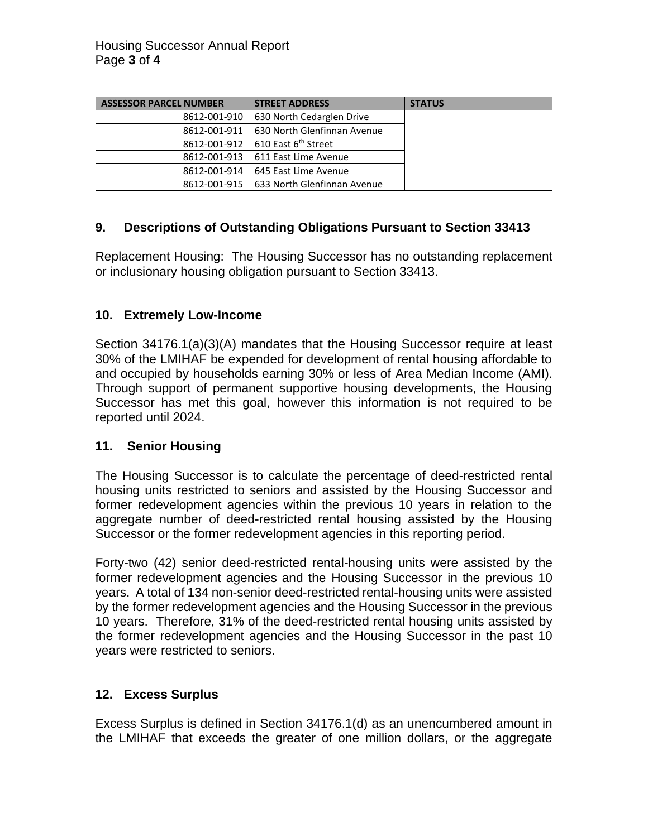| <b>ASSESSOR PARCEL NUMBER</b> | <b>STREET ADDRESS</b>           | <b>STATUS</b> |
|-------------------------------|---------------------------------|---------------|
| 8612-001-910                  | 630 North Cedarglen Drive       |               |
| 8612-001-911                  | 630 North Glenfinnan Avenue     |               |
| 8612-001-912                  | 610 East 6 <sup>th</sup> Street |               |
| 8612-001-913                  | 611 East Lime Avenue            |               |
| 8612-001-914                  | 645 East Lime Avenue            |               |
| 8612-001-915                  | 633 North Glenfinnan Avenue     |               |

# **9. Descriptions of Outstanding Obligations Pursuant to Section 33413**

Replacement Housing: The Housing Successor has no outstanding replacement or inclusionary housing obligation pursuant to Section 33413.

### **10. Extremely Low-Income**

Section 34176.1(a)(3)(A) mandates that the Housing Successor require at least 30% of the LMIHAF be expended for development of rental housing affordable to and occupied by households earning 30% or less of Area Median Income (AMI). Through support of permanent supportive housing developments, the Housing Successor has met this goal, however this information is not required to be reported until 2024.

### **11. Senior Housing**

The Housing Successor is to calculate the percentage of deed-restricted rental housing units restricted to seniors and assisted by the Housing Successor and former redevelopment agencies within the previous 10 years in relation to the aggregate number of deed-restricted rental housing assisted by the Housing Successor or the former redevelopment agencies in this reporting period.

Forty-two (42) senior deed-restricted rental-housing units were assisted by the former redevelopment agencies and the Housing Successor in the previous 10 years. A total of 134 non-senior deed-restricted rental-housing units were assisted by the former redevelopment agencies and the Housing Successor in the previous 10 years. Therefore, 31% of the deed-restricted rental housing units assisted by the former redevelopment agencies and the Housing Successor in the past 10 years were restricted to seniors.

### **12. Excess Surplus**

Excess Surplus is defined in Section 34176.1(d) as an unencumbered amount in the LMIHAF that exceeds the greater of one million dollars, or the aggregate